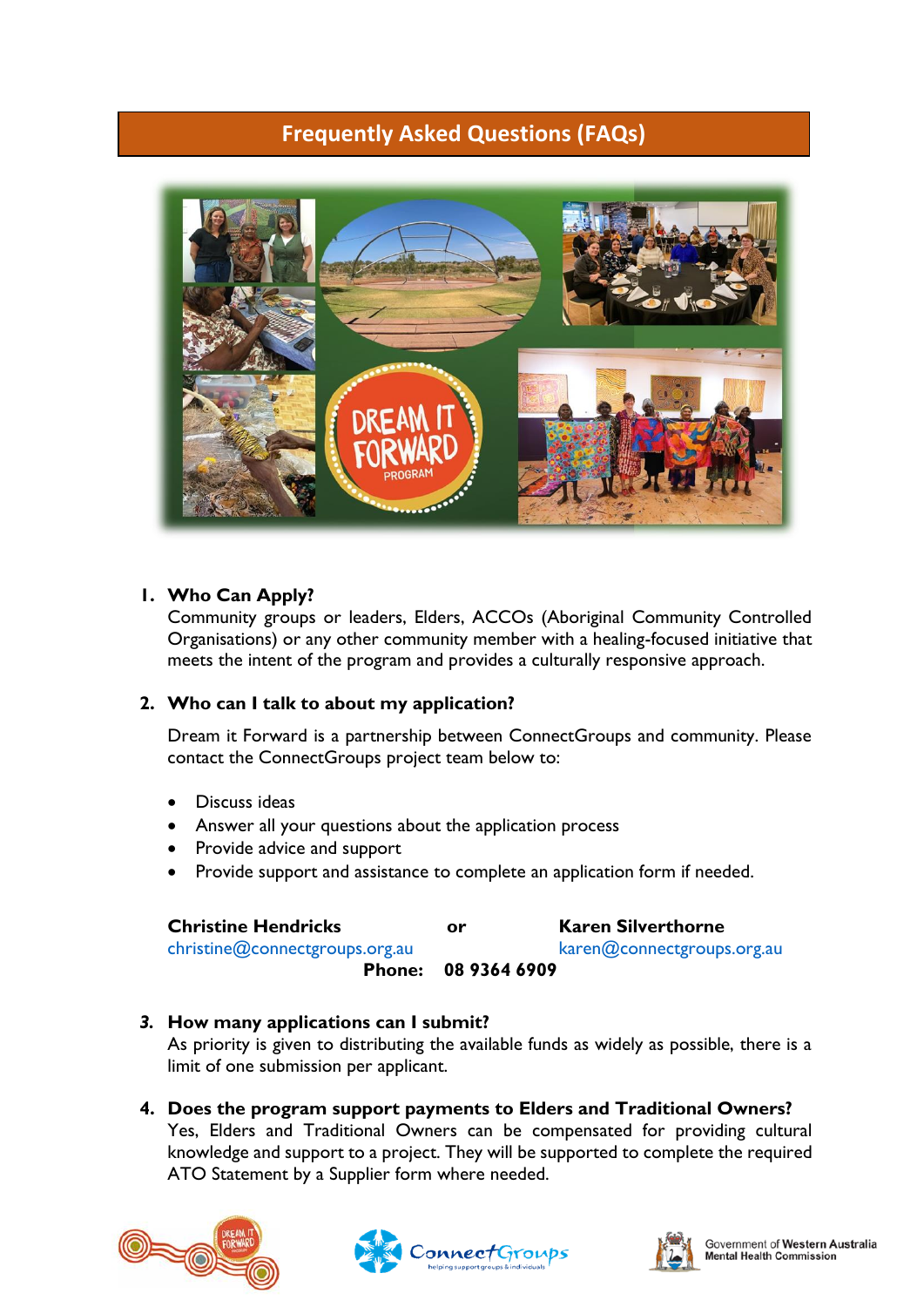# **Frequently Asked Questions (FAQs)**



#### **1. Who Can Apply?**

Community groups or leaders, Elders, ACCOs (Aboriginal Community Controlled Organisations) or any other community member with a healing-focused initiative that meets the intent of the program and provides a culturally responsive approach.

#### **2. Who can I talk to about my application?**

Dream it Forward is a partnership between ConnectGroups and community. Please contact the ConnectGroups project team below to:

- Discuss ideas
- Answer all your questions about the application process
- Provide advice and support
- Provide support and assistance to complete an application form if needed.

| <b>Christine Hendricks</b>     | or           | <b>Karen Silverthorne</b>  |
|--------------------------------|--------------|----------------------------|
| christine@connectgroups.org.au |              | karen@connectgroups.org.au |
| <b>Phone:</b>                  | 08 9364 6909 |                            |

#### *3.* **How many applications can I submit?**

As priority is given to distributing the available funds as widely as possible, there is a limit of one submission per applicant.

**4. Does the program support payments to Elders and Traditional Owners?** Yes, Elders and Traditional Owners can be compensated for providing cultural knowledge and support to a project. They will be supported to complete the required ATO Statement by a Supplier form where needed.